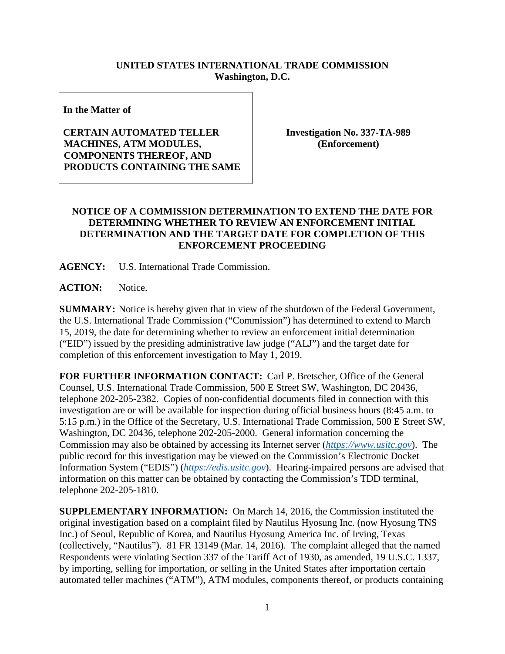## **UNITED STATES INTERNATIONAL TRADE COMMISSION Washington, D.C.**

**In the Matter of**

## **CERTAIN AUTOMATED TELLER MACHINES, ATM MODULES, COMPONENTS THEREOF, AND PRODUCTS CONTAINING THE SAME**

**Investigation No. 337-TA-989 (Enforcement)**

## **NOTICE OF A COMMISSION DETERMINATION TO EXTEND THE DATE FOR DETERMINING WHETHER TO REVIEW AN ENFORCEMENT INITIAL DETERMINATION AND THE TARGET DATE FOR COMPLETION OF THIS ENFORCEMENT PROCEEDING**

**AGENCY:** U.S. International Trade Commission.

**ACTION:** Notice.

**SUMMARY:** Notice is hereby given that in view of the shutdown of the Federal Government, the U.S. International Trade Commission ("Commission") has determined to extend to March 15, 2019, the date for determining whether to review an enforcement initial determination ("EID") issued by the presiding administrative law judge ("ALJ") and the target date for completion of this enforcement investigation to May 1, 2019.

**FOR FURTHER INFORMATION CONTACT:** Carl P. Bretscher, Office of the General Counsel, U.S. International Trade Commission, 500 E Street SW, Washington, DC 20436, telephone 202-205-2382. Copies of non-confidential documents filed in connection with this investigation are or will be available for inspection during official business hours (8:45 a.m. to 5:15 p.m.) in the Office of the Secretary, U.S. International Trade Commission, 500 E Street SW, Washington, DC 20436, telephone 202-205-2000. General information concerning the Commission may also be obtained by accessing its Internet server (*[https://www.usitc.gov](https://www.usitc.gov/)*). The public record for this investigation may be viewed on the Commission's Electronic Docket Information System ("EDIS") (*[https://edis.usitc.gov](https://edis.usitc.gov/)*). Hearing-impaired persons are advised that information on this matter can be obtained by contacting the Commission's TDD terminal, telephone 202-205-1810.

**SUPPLEMENTARY INFORMATION:** On March 14, 2016, the Commission instituted the original investigation based on a complaint filed by Nautilus Hyosung Inc. (now Hyosung TNS Inc.) of Seoul, Republic of Korea, and Nautilus Hyosung America Inc. of Irving, Texas (collectively, "Nautilus"). 81 FR 13149 (Mar. 14, 2016). The complaint alleged that the named Respondents were violating Section 337 of the Tariff Act of 1930, as amended, 19 U.S.C. 1337, by importing, selling for importation, or selling in the United States after importation certain automated teller machines ("ATM"), ATM modules, components thereof, or products containing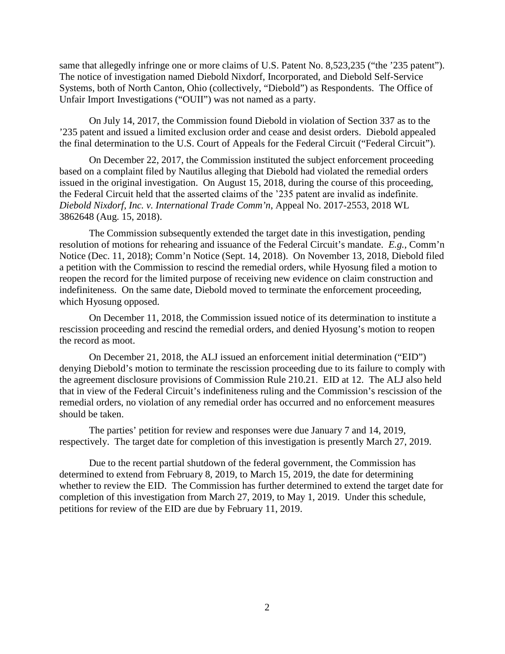same that allegedly infringe one or more claims of U.S. Patent No. 8,523,235 ("the '235 patent"). The notice of investigation named Diebold Nixdorf, Incorporated, and Diebold Self-Service Systems, both of North Canton, Ohio (collectively, "Diebold") as Respondents. The Office of Unfair Import Investigations ("OUII") was not named as a party.

On July 14, 2017, the Commission found Diebold in violation of Section 337 as to the '235 patent and issued a limited exclusion order and cease and desist orders. Diebold appealed the final determination to the U.S. Court of Appeals for the Federal Circuit ("Federal Circuit").

On December 22, 2017, the Commission instituted the subject enforcement proceeding based on a complaint filed by Nautilus alleging that Diebold had violated the remedial orders issued in the original investigation. On August 15, 2018, during the course of this proceeding, the Federal Circuit held that the asserted claims of the '235 patent are invalid as indefinite. *Diebold Nixdorf, Inc. v. International Trade Comm'n*, Appeal No. 2017-2553, 2018 WL 3862648 (Aug. 15, 2018).

The Commission subsequently extended the target date in this investigation, pending resolution of motions for rehearing and issuance of the Federal Circuit's mandate. *E.g.,* Comm'n Notice (Dec. 11, 2018); Comm'n Notice (Sept. 14, 2018). On November 13, 2018, Diebold filed a petition with the Commission to rescind the remedial orders, while Hyosung filed a motion to reopen the record for the limited purpose of receiving new evidence on claim construction and indefiniteness. On the same date, Diebold moved to terminate the enforcement proceeding, which Hyosung opposed.

On December 11, 2018, the Commission issued notice of its determination to institute a rescission proceeding and rescind the remedial orders, and denied Hyosung's motion to reopen the record as moot.

On December 21, 2018, the ALJ issued an enforcement initial determination ("EID") denying Diebold's motion to terminate the rescission proceeding due to its failure to comply with the agreement disclosure provisions of Commission Rule 210.21. EID at 12. The ALJ also held that in view of the Federal Circuit's indefiniteness ruling and the Commission's rescission of the remedial orders, no violation of any remedial order has occurred and no enforcement measures should be taken.

The parties' petition for review and responses were due January 7 and 14, 2019, respectively. The target date for completion of this investigation is presently March 27, 2019.

Due to the recent partial shutdown of the federal government, the Commission has determined to extend from February 8, 2019, to March 15, 2019, the date for determining whether to review the EID. The Commission has further determined to extend the target date for completion of this investigation from March 27, 2019, to May 1, 2019. Under this schedule, petitions for review of the EID are due by February 11, 2019.